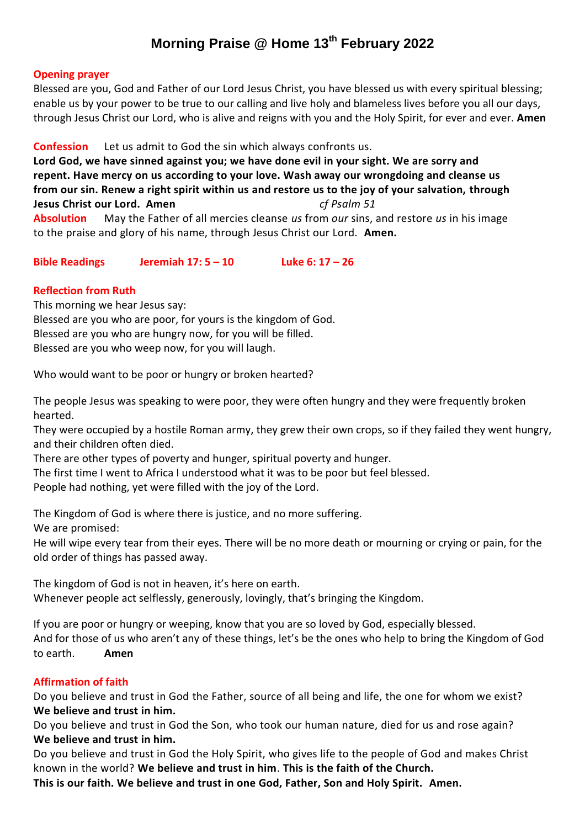# **Morning Praise @ Home 13th February 2022**

#### **Opening prayer**

Blessed are you, God and Father of our Lord Jesus Christ, you have blessed us with every spiritual blessing; enable us by your power to be true to our calling and live holy and blameless lives before you all our days, through Jesus Christ our Lord, who is alive and reigns with you and the Holy Spirit, for ever and ever. **Amen**

## **Confession** Let us admit to God the sin which always confronts us.

**Lord God, we have sinned against you; we have done evil in your sight. We are sorry and repent. Have mercy on us according to your love. Wash away our wrongdoing and cleanse us from our sin. Renew a right spirit within us and restore us to the joy of your salvation, through Jesus Christ our Lord. Amen** *cf Psalm 51* **Absolution** May the Father of all mercies cleanse *us* from *our* sins, and restore *us* in his image to the praise and glory of his name, through Jesus Christ our Lord. **Amen.**

**Bible Readings Jeremiah 17: 5 – 10 Luke 6: 17 – 26**

## **Reflection from Ruth**

This morning we hear Jesus say: Blessed are you who are poor, for yours is the kingdom of God. Blessed are you who are hungry now, for you will be filled. Blessed are you who weep now, for you will laugh.

Who would want to be poor or hungry or broken hearted?

The people Jesus was speaking to were poor, they were often hungry and they were frequently broken hearted.

They were occupied by a hostile Roman army, they grew their own crops, so if they failed they went hungry, and their children often died.

There are other types of poverty and hunger, spiritual poverty and hunger.

The first time I went to Africa I understood what it was to be poor but feel blessed.

People had nothing, yet were filled with the joy of the Lord.

The Kingdom of God is where there is justice, and no more suffering.

We are promised:

He will wipe every tear from their eyes. There will be no more death or mourning or crying or pain, for the old order of things has passed away.

The kingdom of God is not in heaven, it's here on earth. Whenever people act selflessly, generously, lovingly, that's bringing the Kingdom.

If you are poor or hungry or weeping, know that you are so loved by God, especially blessed. And for those of us who aren't any of these things, let's be the ones who help to bring the Kingdom of God to earth. **Amen**

## **Affirmation of faith**

Do you believe and trust in God the Father, source of all being and life, the one for whom we exist? **We believe and trust in him.**

Do you believe and trust in God the Son, who took our human nature, died for us and rose again? **We believe and trust in him.**

Do you believe and trust in God the Holy Spirit, who gives life to the people of God and makes Christ known in the world? **We believe and trust in him**. **This is the faith of the Church.**

**This is our faith. We believe and trust in one God, Father, Son and Holy Spirit. Amen.**